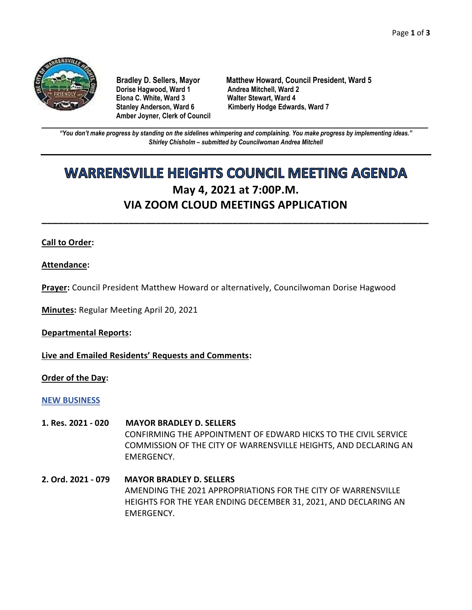

**Dorise Hagwood, Ward 1** Andrea Mitchell, Ward 2<br>Elona C. White, Ward 3 **Malter Stewart, Ward 4 Elona C. White, Ward 3 Amber Joyner, Clerk of Council**

**Bradley D. Sellers, Mayor Matthew Howard, Council President, Ward 5** Stanley Anderson, Ward 6 Kimberly Hodge Edwards, Ward 7

**\_\_\_\_\_\_\_\_\_\_\_\_\_\_\_\_\_\_\_\_\_\_\_\_\_\_\_\_\_\_\_\_\_\_\_\_\_\_\_\_\_\_\_\_\_\_\_\_\_\_\_\_\_\_\_\_\_\_\_\_\_\_\_\_\_\_\_\_\_\_\_\_\_\_\_\_\_\_\_\_\_\_\_\_\_\_\_\_\_\_\_\_\_\_\_\_\_\_\_\_\_\_\_\_\_\_\_\_\_\_** *"You don't make progress by standing on the sidelines whimpering and complaining. You make progress by implementing ideas." Shirley Chisholm – submitted by Councilwoman Andrea Mitchell*

# **WARRENSVILLE HEIGHTS COUNCIL MEETING AGENDA May 4, 2021 at 7:00P.M. VIA ZOOM CLOUD MEETINGS APPLICATION**

**\_\_\_\_\_\_\_\_\_\_\_\_\_\_\_\_\_\_\_\_\_\_\_\_\_\_\_\_\_\_\_\_\_\_\_\_\_\_\_\_\_\_\_\_\_\_\_\_\_\_\_\_\_\_\_\_\_\_\_\_\_\_\_\_\_\_\_\_\_\_\_**

## **Call to Order:**

**Attendance:**

**Prayer:** Council President Matthew Howard or alternatively, Councilwoman Dorise Hagwood

**Minutes:** Regular Meeting April 20, 2021

**Departmental Reports:**

**Live and Emailed Residents' Requests and Comments:**

**Order of the Day:**

#### **NEW BUSINESS**

- **1. Res. 2021 - 020 MAYOR BRADLEY D. SELLERS** CONFIRMING THE APPOINTMENT OF EDWARD HICKS TO THE CIVIL SERVICE COMMISSION OF THE CITY OF WARRENSVILLE HEIGHTS, AND DECLARING AN EMERGENCY.
- **2. Ord. 2021 - 079 MAYOR BRADLEY D. SELLERS** AMENDING THE 2021 APPROPRIATIONS FOR THE CITY OF WARRENSVILLE HEIGHTS FOR THE YEAR ENDING DECEMBER 31, 2021, AND DECLARING AN EMERGENCY.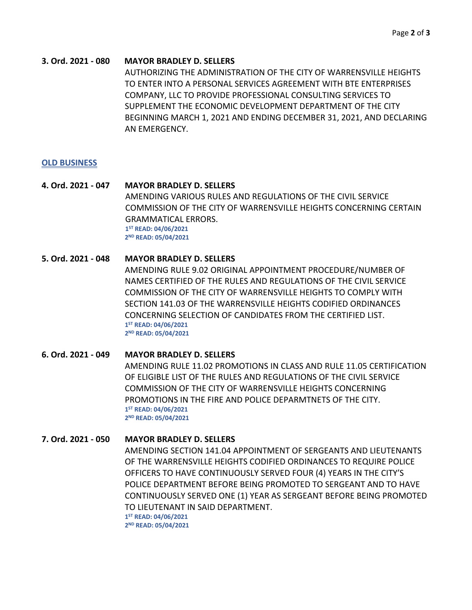#### **3. Ord. 2021 - 080 MAYOR BRADLEY D. SELLERS**

AUTHORIZING THE ADMINISTRATION OF THE CITY OF WARRENSVILLE HEIGHTS TO ENTER INTO A PERSONAL SERVICES AGREEMENT WITH BTE ENTERPRISES COMPANY, LLC TO PROVIDE PROFESSIONAL CONSULTING SERVICES TO SUPPLEMENT THE ECONOMIC DEVELOPMENT DEPARTMENT OF THE CITY BEGINNING MARCH 1, 2021 AND ENDING DECEMBER 31, 2021, AND DECLARING AN EMERGENCY.

#### **OLD BUSINESS**

**4. Ord. 2021 - 047 MAYOR BRADLEY D. SELLERS** AMENDING VARIOUS RULES AND REGULATIONS OF THE CIVIL SERVICE COMMISSION OF THE CITY OF WARRENSVILLE HEIGHTS CONCERNING CERTAIN GRAMMATICAL ERRORS. **1 ST READ: 04/06/2021 2 2 ND READ: 05/04/2021**

## **5. Ord. 2021 - 048 MAYOR BRADLEY D. SELLERS**

AMENDING RULE 9.02 ORIGINAL APPOINTMENT PROCEDURE/NUMBER OF NAMES CERTIFIED OF THE RULES AND REGULATIONS OF THE CIVIL SERVICE COMMISSION OF THE CITY OF WARRENSVILLE HEIGHTS TO COMPLY WITH SECTION 141.03 OF THE WARRENSVILLE HEIGHTS CODIFIED ORDINANCES CONCERNING SELECTION OF CANDIDATES FROM THE CERTIFIED LIST. **1 ST READ: 04/06/2021 2 2 ND READ: 05/04/2021**

**6. Ord. 2021 - 049 MAYOR BRADLEY D. SELLERS** AMENDING RULE 11.02 PROMOTIONS IN CLASS AND RULE 11.05 CERTIFICATION OF ELIGIBLE LIST OF THE RULES AND REGULATIONS OF THE CIVIL SERVICE COMMISSION OF THE CITY OF WARRENSVILLE HEIGHTS CONCERNING PROMOTIONS IN THE FIRE AND POLICE DEPARMTNETS OF THE CITY. **1 ST READ: 04/06/2021 2 2 ND READ: 05/04/2021**

**7. Ord. 2021 - 050 MAYOR BRADLEY D. SELLERS** AMENDING SECTION 141.04 APPOINTMENT OF SERGEANTS AND LIEUTENANTS OF THE WARRENSVILLE HEIGHTS CODIFIED ORDINANCES TO REQUIRE POLICE OFFICERS TO HAVE CONTINUOUSLY SERVED FOUR (4) YEARS IN THE CITY'S POLICE DEPARTMENT BEFORE BEING PROMOTED TO SERGEANT AND TO HAVE CONTINUOUSLY SERVED ONE (1) YEAR AS SERGEANT BEFORE BEING PROMOTED TO LIEUTENANT IN SAID DEPARTMENT. **1 ST READ: 04/06/2021 2 2 ND READ: 05/04/2021**